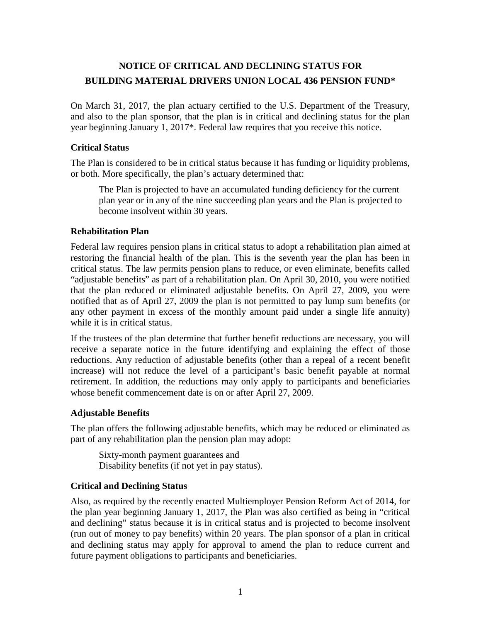# **NOTICE OF CRITICAL AND DECLINING STATUS FOR BUILDING MATERIAL DRIVERS UNION LOCAL 436 PENSION FUND\***

On March 31, 2017, the plan actuary certified to the U.S. Department of the Treasury, and also to the plan sponsor, that the plan is in critical and declining status for the plan year beginning January 1, 2017\*. Federal law requires that you receive this notice.

## **Critical Status**

The Plan is considered to be in critical status because it has funding or liquidity problems, or both. More specifically, the plan's actuary determined that:

The Plan is projected to have an accumulated funding deficiency for the current plan year or in any of the nine succeeding plan years and the Plan is projected to become insolvent within 30 years.

# **Rehabilitation Plan**

Federal law requires pension plans in critical status to adopt a rehabilitation plan aimed at restoring the financial health of the plan. This is the seventh year the plan has been in critical status. The law permits pension plans to reduce, or even eliminate, benefits called "adjustable benefits" as part of a rehabilitation plan. On April 30, 2010, you were notified that the plan reduced or eliminated adjustable benefits. On April 27, 2009, you were notified that as of April 27, 2009 the plan is not permitted to pay lump sum benefits (or any other payment in excess of the monthly amount paid under a single life annuity) while it is in critical status.

If the trustees of the plan determine that further benefit reductions are necessary, you will receive a separate notice in the future identifying and explaining the effect of those reductions. Any reduction of adjustable benefits (other than a repeal of a recent benefit increase) will not reduce the level of a participant's basic benefit payable at normal retirement. In addition, the reductions may only apply to participants and beneficiaries whose benefit commencement date is on or after April 27, 2009.

### **Adjustable Benefits**

The plan offers the following adjustable benefits, which may be reduced or eliminated as part of any rehabilitation plan the pension plan may adopt:

Sixty-month payment guarantees and Disability benefits (if not yet in pay status).

### **Critical and Declining Status**

Also, as required by the recently enacted Multiemployer Pension Reform Act of 2014, for the plan year beginning January 1, 2017, the Plan was also certified as being in "critical and declining" status because it is in critical status and is projected to become insolvent (run out of money to pay benefits) within 20 years. The plan sponsor of a plan in critical and declining status may apply for approval to amend the plan to reduce current and future payment obligations to participants and beneficiaries.